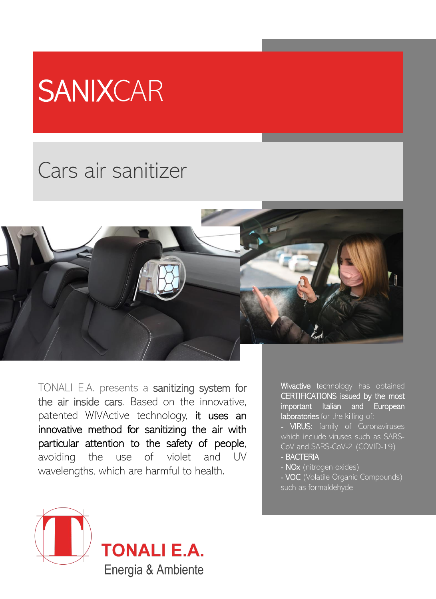# **SANIXCAR**

## Cars air sanitizer



TONALI E.A. presents a sanitizing system for the air inside cars. Based on the innovative, patented WIVActive technology, it uses an innovative method for sanitizing the air with particular attention to the safety of people, avoiding the use of violet and UV wavelengths, which are harmful to health.

Wivactive technology has obtained CERTIFICATIONS issued by the most important Italian and European laboratories for the killing of:

- VIRUS: family of Coronaviruses which include viruses such as SARS-CoV and SARS-CoV-2 (COVID-19)

- BACTERIA
- NOx (nitrogen oxides)
- VOC (Volatile Organic Compounds) such as formaldehyde